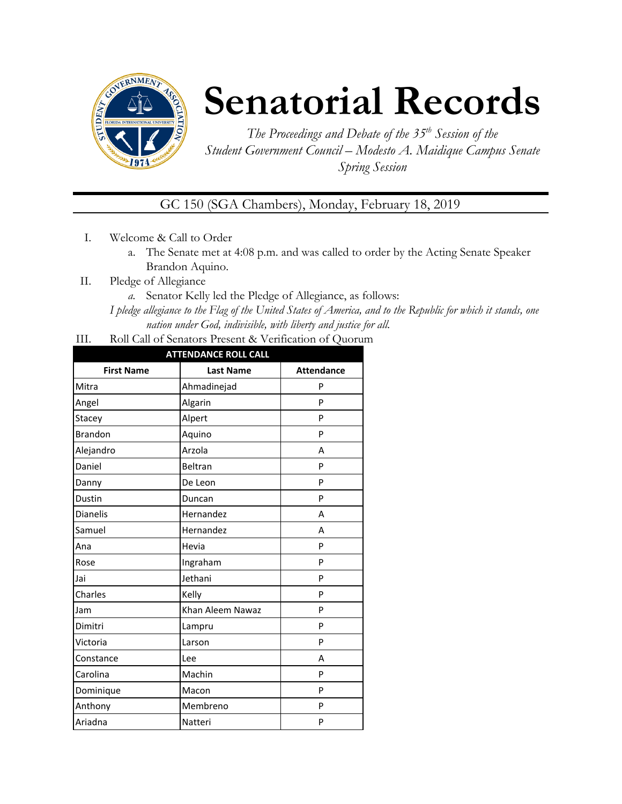

# **Senatorial Records**

*The Proceedings and Debate of the 35 th Session of the Student Government Council – Modesto A. Maidique Campus Senate Spring Session*

GC 150 (SGA Chambers), Monday, February 18, 2019

- I. Welcome & Call to Order
	- a. The Senate met at 4:08 p.m. and was called to order by the Acting Senate Speaker Brandon Aquino.
- II. Pledge of Allegiance
	- *a.* Senator Kelly led the Pledge of Allegiance, as follows:

*I pledge allegiance to the Flag of the United States of America, and to the Republic for which it stands, one nation under God, indivisible, with liberty and justice for all.*

III. Roll Call of Senators Present & Verification of Quorum

| <b>ATTENDANCE ROLL CALL</b> |                  |                   |  |  |
|-----------------------------|------------------|-------------------|--|--|
| <b>First Name</b>           | <b>Last Name</b> | <b>Attendance</b> |  |  |
| Mitra                       | Ahmadinejad      | P                 |  |  |
| Angel                       | Algarin          | P                 |  |  |
| Stacey                      | Alpert           | P                 |  |  |
| <b>Brandon</b>              | Aquino           | P                 |  |  |
| Alejandro                   | Arzola           | A                 |  |  |
| Daniel                      | Beltran          | P                 |  |  |
| Danny                       | De Leon          | P                 |  |  |
| Dustin                      | Duncan           | P                 |  |  |
| <b>Dianelis</b>             | Hernandez        | A                 |  |  |
| Samuel                      | Hernandez        | A                 |  |  |
| Ana                         | Hevia            | P                 |  |  |
| Rose                        | Ingraham         | P                 |  |  |
| Jai                         | Jethani          | P                 |  |  |
| Charles                     | Kelly            | P                 |  |  |
| Jam                         | Khan Aleem Nawaz | P                 |  |  |
| Dimitri                     | Lampru           | P                 |  |  |
| Victoria                    | Larson           | P                 |  |  |
| Constance                   | Lee              | A                 |  |  |
| Carolina                    | Machin           | P                 |  |  |
| Dominique                   | Macon            | P                 |  |  |
| Anthony                     | Membreno         | P                 |  |  |
| Ariadna                     | Natteri          | P                 |  |  |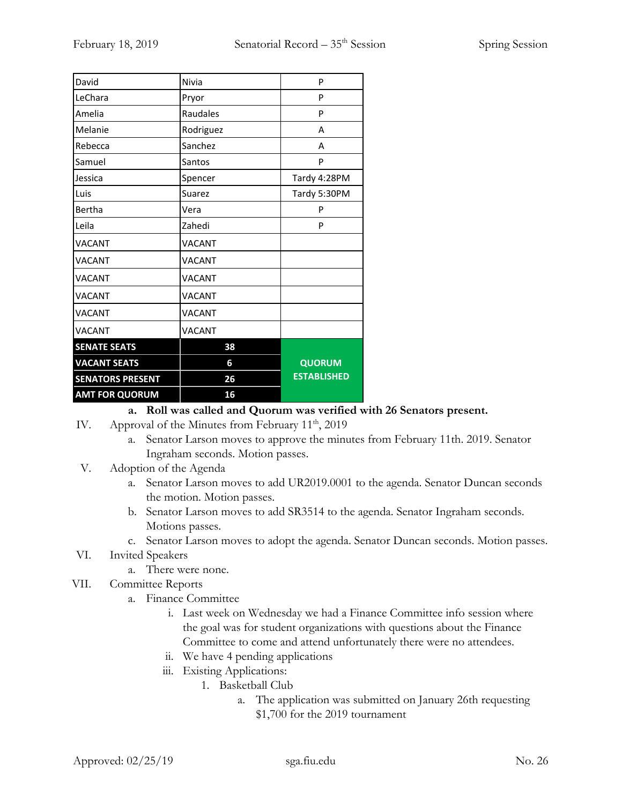| David                   | Nivia         | P                  |
|-------------------------|---------------|--------------------|
| LeChara                 | Pryor         | P                  |
| Amelia                  | Raudales      | P                  |
| Melanie                 | Rodriguez     | А                  |
| Rebecca                 | Sanchez       | А                  |
| Samuel                  | Santos        | P                  |
| Jessica                 | Spencer       | Tardy 4:28PM       |
| Luis                    | Suarez        | Tardy 5:30PM       |
| Bertha                  | Vera          | P                  |
| Leila                   | Zahedi        | P                  |
| <b>VACANT</b>           | <b>VACANT</b> |                    |
| <b>VACANT</b>           | <b>VACANT</b> |                    |
| <b>VACANT</b>           | <b>VACANT</b> |                    |
| <b>VACANT</b>           | <b>VACANT</b> |                    |
| <b>VACANT</b>           | <b>VACANT</b> |                    |
| <b>VACANT</b>           | <b>VACANT</b> |                    |
| <b>SENATE SEATS</b>     | 38            |                    |
| <b>VACANT SEATS</b>     | 6             | <b>QUORUM</b>      |
| <b>SENATORS PRESENT</b> | 26            | <b>ESTABLISHED</b> |
| <b>AMT FOR QUORUM</b>   | 16            |                    |

## **a. Roll was called and Quorum was verified with 26 Senators present.**

- IV. Approval of the Minutes from February  $11<sup>th</sup>$ , 2019
	- a. Senator Larson moves to approve the minutes from February 11th. 2019. Senator Ingraham seconds. Motion passes.
- V. Adoption of the Agenda
	- a. Senator Larson moves to add UR2019.0001 to the agenda. Senator Duncan seconds the motion. Motion passes.
	- b. Senator Larson moves to add SR3514 to the agenda. Senator Ingraham seconds. Motions passes.
	- c. Senator Larson moves to adopt the agenda. Senator Duncan seconds. Motion passes.
- VI. Invited Speakers
	- a. There were none.
- VII. Committee Reports
	- a. Finance Committee
		- i. Last week on Wednesday we had a Finance Committee info session where the goal was for student organizations with questions about the Finance Committee to come and attend unfortunately there were no attendees.
		- ii. We have 4 pending applications
		- iii. Existing Applications:
			- 1. Basketball Club
				- a. The application was submitted on January 26th requesting \$1,700 for the 2019 tournament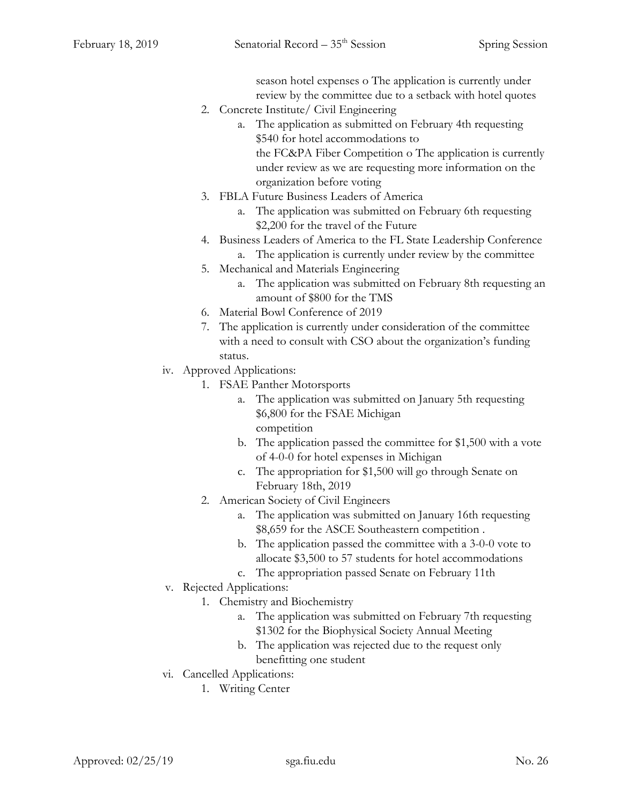season hotel expenses o The application is currently under review by the committee due to a setback with hotel quotes

- 2. Concrete Institute/ Civil Engineering
	- a. The application as submitted on February 4th requesting \$540 for hotel accommodations to the FC&PA Fiber Competition o The application is currently under review as we are requesting more information on the organization before voting
- 3. FBLA Future Business Leaders of America
	- a. The application was submitted on February 6th requesting \$2,200 for the travel of the Future
- 4. Business Leaders of America to the FL State Leadership Conference a. The application is currently under review by the committee
- 5. Mechanical and Materials Engineering
	- a. The application was submitted on February 8th requesting an amount of \$800 for the TMS
- 6. Material Bowl Conference of 2019
- 7. The application is currently under consideration of the committee with a need to consult with CSO about the organization's funding status.
- iv. Approved Applications:
	- 1. FSAE Panther Motorsports
		- a. The application was submitted on January 5th requesting \$6,800 for the FSAE Michigan competition
		- b. The application passed the committee for \$1,500 with a vote of 4-0-0 for hotel expenses in Michigan
		- c. The appropriation for \$1,500 will go through Senate on February 18th, 2019
	- 2. American Society of Civil Engineers
		- a. The application was submitted on January 16th requesting \$8,659 for the ASCE Southeastern competition .
		- b. The application passed the committee with a 3-0-0 vote to allocate \$3,500 to 57 students for hotel accommodations
		- c. The appropriation passed Senate on February 11th
- v. Rejected Applications:
	- 1. Chemistry and Biochemistry
		- a. The application was submitted on February 7th requesting \$1302 for the Biophysical Society Annual Meeting
		- b. The application was rejected due to the request only benefitting one student
- vi. Cancelled Applications:
	- 1. Writing Center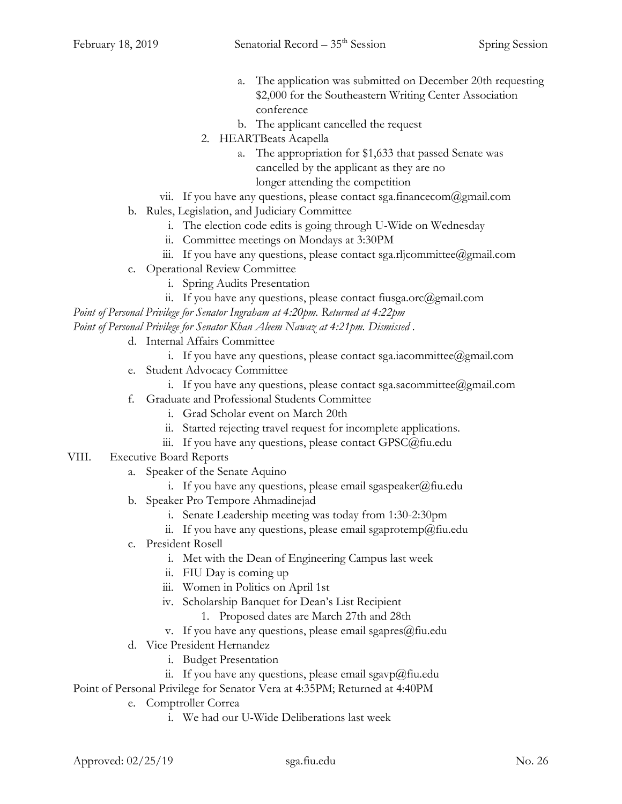- a. The application was submitted on December 20th requesting \$2,000 for the Southeastern Writing Center Association conference
- b. The applicant cancelled the request
- 2. HEARTBeats Acapella
	- a. The appropriation for \$1,633 that passed Senate was cancelled by the applicant as they are no longer attending the competition
- vii. If you have any questions, please contact sga.financecom@gmail.com
- b. Rules, Legislation, and Judiciary Committee
	- i. The election code edits is going through U-Wide on Wednesday
	- ii. Committee meetings on Mondays at 3:30PM
	- iii. If you have any questions, please contact sga.rljcommittee@gmail.com
- c. Operational Review Committee
	- i. Spring Audits Presentation
	- ii. If you have any questions, please contact fiusga.orc@gmail.com

*Point of Personal Privilege for Senator Ingraham at 4:20pm. Returned at 4:22pm*

*Point of Personal Privilege for Senator Khan Aleem Nawaz at 4:21pm. Dismissed .*

- d. Internal Affairs Committee
	- i. If you have any questions, please contact sga.iacommittee@gmail.com
- e. Student Advocacy Committee
	- i. If you have any questions, please contact sga.sacommittee@gmail.com
- f. Graduate and Professional Students Committee
	- i. Grad Scholar event on March 20th
	- ii. Started rejecting travel request for incomplete applications.
	- iii. If you have any questions, please contact GPSC@fiu.edu
- VIII. Executive Board Reports
	- a. Speaker of the Senate Aquino
		- i. If you have any questions, please email sgaspeaker@fiu.edu
	- b. Speaker Pro Tempore Ahmadinejad
		- i. Senate Leadership meeting was today from 1:30-2:30pm
		- ii. If you have any questions, please email sgaprotemp@fiu.edu
	- c. President Rosell
		- i. Met with the Dean of Engineering Campus last week
		- ii. FIU Day is coming up
		- iii. Women in Politics on April 1st
		- iv. Scholarship Banquet for Dean's List Recipient
			- 1. Proposed dates are March 27th and 28th
		- v. If you have any questions, please email sgapres@fiu.edu
	- d. Vice President Hernandez
		- i. Budget Presentation
		- ii. If you have any questions, please email sgavp@fiu.edu

Point of Personal Privilege for Senator Vera at 4:35PM; Returned at 4:40PM

- e. Comptroller Correa
	- i. We had our U-Wide Deliberations last week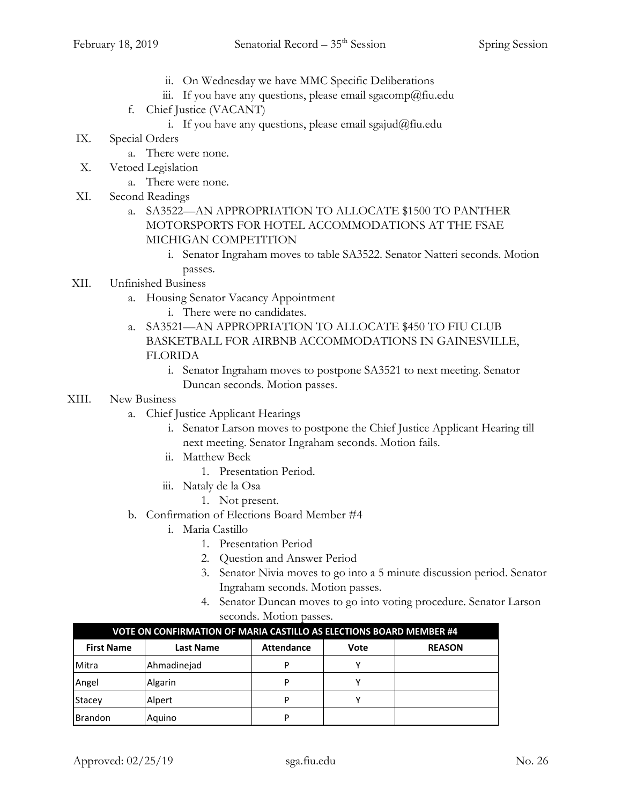- ii. On Wednesday we have MMC Specific Deliberations
- iii. If you have any questions, please email sgacomp@fiu.edu
- f. Chief Justice (VACANT)
	- i. If you have any questions, please email sgajud@fiu.edu
- IX. Special Orders
	- a. There were none.
- X. Vetoed Legislation
	- a. There were none.
- XI. Second Readings
	- a. SA3522—AN APPROPRIATION TO ALLOCATE \$1500 TO PANTHER MOTORSPORTS FOR HOTEL ACCOMMODATIONS AT THE FSAE MICHIGAN COMPETITION
		- i. Senator Ingraham moves to table SA3522. Senator Natteri seconds. Motion passes.
- XII. Unfinished Business
	- a. Housing Senator Vacancy Appointment
		- i. There were no candidates.
	- a. SA3521—AN APPROPRIATION TO ALLOCATE \$450 TO FIU CLUB BASKETBALL FOR AIRBNB ACCOMMODATIONS IN GAINESVILLE, FLORIDA
		- i. Senator Ingraham moves to postpone SA3521 to next meeting. Senator Duncan seconds. Motion passes.
- XIII. New Business
	- a. Chief Justice Applicant Hearings
		- i. Senator Larson moves to postpone the Chief Justice Applicant Hearing till next meeting. Senator Ingraham seconds. Motion fails.
		- ii. Matthew Beck
			- 1. Presentation Period.
		- iii. Nataly de la Osa
			- 1. Not present.
	- b. Confirmation of Elections Board Member #4
		- i. Maria Castillo
			- 1. Presentation Period
			- 2. Question and Answer Period
			- 3. Senator Nivia moves to go into a 5 minute discussion period. Senator Ingraham seconds. Motion passes.
			- 4. Senator Duncan moves to go into voting procedure. Senator Larson seconds. Motion passes.

| VOTE ON CONFIRMATION OF MARIA CASTILLO AS ELECTIONS BOARD MEMBER #4 |                  |                   |      |               |  |
|---------------------------------------------------------------------|------------------|-------------------|------|---------------|--|
| <b>First Name</b>                                                   | <b>Last Name</b> | <b>Attendance</b> | Vote | <b>REASON</b> |  |
| Mitra                                                               | Ahmadinejad      | D                 | ν    |               |  |
| Angel                                                               | Algarin          | D                 |      |               |  |
| Stacey                                                              | Alpert           | D                 | v    |               |  |
| <b>Brandon</b>                                                      | Aguino           | D                 |      |               |  |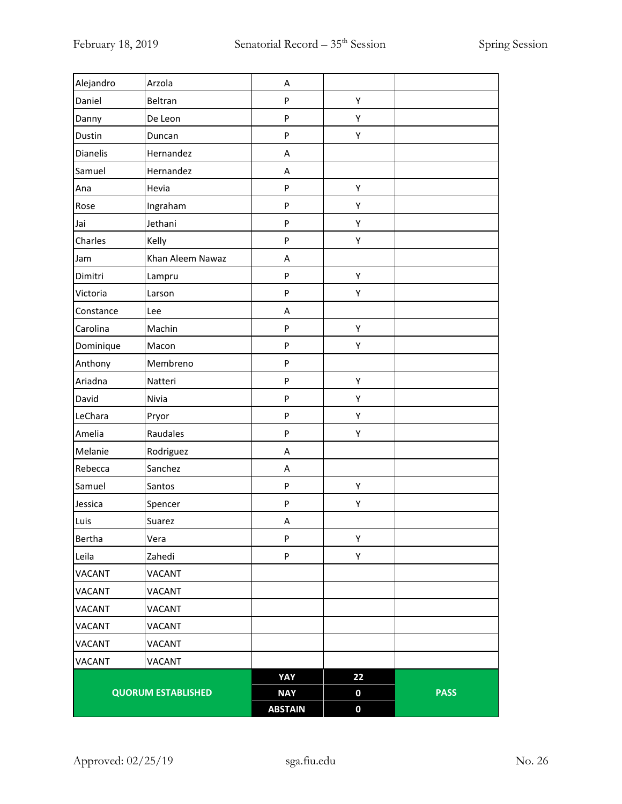| Alejandro     | Arzola                    | Α              |                  |             |
|---------------|---------------------------|----------------|------------------|-------------|
| Daniel        | Beltran                   | P              | Υ                |             |
| Danny         | De Leon                   | P              | Υ                |             |
| Dustin        | Duncan                    | P              | Υ                |             |
| Dianelis      | Hernandez                 | Α              |                  |             |
| Samuel        | Hernandez                 | A              |                  |             |
| Ana           | Hevia                     | P              | Υ                |             |
| Rose          | Ingraham                  | P              | Υ                |             |
| Jai           | Jethani                   | P              | Υ                |             |
| Charles       | Kelly                     | P              | Υ                |             |
| Jam           | Khan Aleem Nawaz          | Α              |                  |             |
| Dimitri       | Lampru                    | P              | Υ                |             |
| Victoria      | Larson                    | P              | Υ                |             |
| Constance     | Lee                       | A              |                  |             |
| Carolina      | Machin                    | P              | Υ                |             |
| Dominique     | Macon                     | P              | Υ                |             |
| Anthony       | Membreno                  | P              |                  |             |
| Ariadna       | Natteri                   | P              | Υ                |             |
| David         | Nivia                     | P              | Υ                |             |
| LeChara       | Pryor                     | P              | Υ                |             |
| Amelia        | Raudales                  | P              | Υ                |             |
| Melanie       | Rodriguez                 | A              |                  |             |
| Rebecca       | Sanchez                   | Α              |                  |             |
| Samuel        | Santos                    | P              | Υ                |             |
| Jessica       | Spencer                   | P              | Υ                |             |
| Luis          | Suarez                    | Α              |                  |             |
| Bertha        | Vera                      | P              | Υ                |             |
| Leila         | Zahedi                    | P              | Υ                |             |
| <b>VACANT</b> | <b>VACANT</b>             |                |                  |             |
| <b>VACANT</b> | <b>VACANT</b>             |                |                  |             |
| <b>VACANT</b> | VACANT                    |                |                  |             |
| <b>VACANT</b> | <b>VACANT</b>             |                |                  |             |
| <b>VACANT</b> | <b>VACANT</b>             |                |                  |             |
| <b>VACANT</b> | <b>VACANT</b>             |                |                  |             |
|               |                           | YAY            | 22               |             |
|               | <b>QUORUM ESTABLISHED</b> | <b>NAY</b>     | $\boldsymbol{0}$ | <b>PASS</b> |
|               |                           | <b>ABSTAIN</b> | $\boldsymbol{0}$ |             |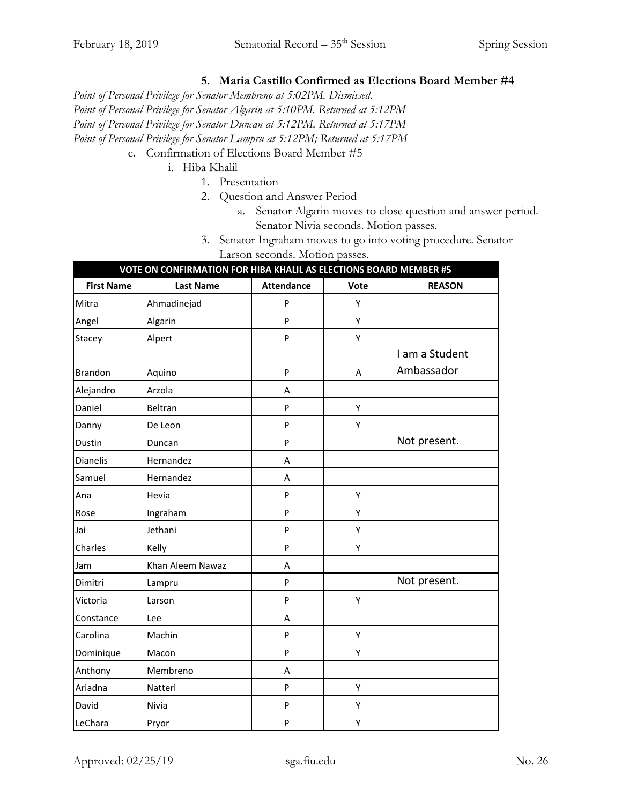# **5. Maria Castillo Confirmed as Elections Board Member #4**

*Point of Personal Privilege for Senator Membreno at 5:02PM. Dismissed.*

*Point of Personal Privilege for Senator Algarin at 5:10PM. Returned at 5:12PM*

*Point of Personal Privilege for Senator Duncan at 5:12PM. Returned at 5:17PM*

*Point of Personal Privilege for Senator Lampru at 5:12PM; Returned at 5:17PM*

- c. Confirmation of Elections Board Member #5
	- i. Hiba Khalil
		- 1. Presentation
		- 2. Question and Answer Period
			- a. Senator Algarin moves to close question and answer period. Senator Nivia seconds. Motion passes.
		- 3. Senator Ingraham moves to go into voting procedure. Senator Larson seconds. Motion passes.

| VOTE ON CONFIRMATION FOR HIBA KHALIL AS ELECTIONS BOARD MEMBER #5 |                  |                   |      |                |
|-------------------------------------------------------------------|------------------|-------------------|------|----------------|
| <b>First Name</b>                                                 | <b>Last Name</b> | <b>Attendance</b> | Vote | <b>REASON</b>  |
| Mitra                                                             | Ahmadinejad      | P                 | Υ    |                |
| Angel                                                             | Algarin          | P                 | Υ    |                |
| Stacey                                                            | Alpert           | P                 | Υ    |                |
|                                                                   |                  |                   |      | I am a Student |
| <b>Brandon</b>                                                    | Aquino           | P                 | A    | Ambassador     |
| Alejandro                                                         | Arzola           | A                 |      |                |
| Daniel                                                            | Beltran          | P                 | Υ    |                |
| Danny                                                             | De Leon          | P                 | Υ    |                |
| Dustin                                                            | Duncan           | P                 |      | Not present.   |
| <b>Dianelis</b>                                                   | Hernandez        | A                 |      |                |
| Samuel                                                            | Hernandez        | A                 |      |                |
| Ana                                                               | Hevia            | P                 | Y    |                |
| Rose                                                              | Ingraham         | P                 | Υ    |                |
| Jai                                                               | Jethani          | P                 | Υ    |                |
| Charles                                                           | Kelly            | P                 | Υ    |                |
| Jam                                                               | Khan Aleem Nawaz | A                 |      |                |
| Dimitri                                                           | Lampru           | P                 |      | Not present.   |
| Victoria                                                          | Larson           | P                 | Υ    |                |
| Constance                                                         | Lee              | A                 |      |                |
| Carolina                                                          | Machin           | P                 | Υ    |                |
| Dominique                                                         | Macon            | P                 | Υ    |                |
| Anthony                                                           | Membreno         | A                 |      |                |
| Ariadna                                                           | Natteri          | P                 | Υ    |                |
| David                                                             | Nivia            | P                 | Υ    |                |
| LeChara                                                           | Pryor            | P                 | Υ    |                |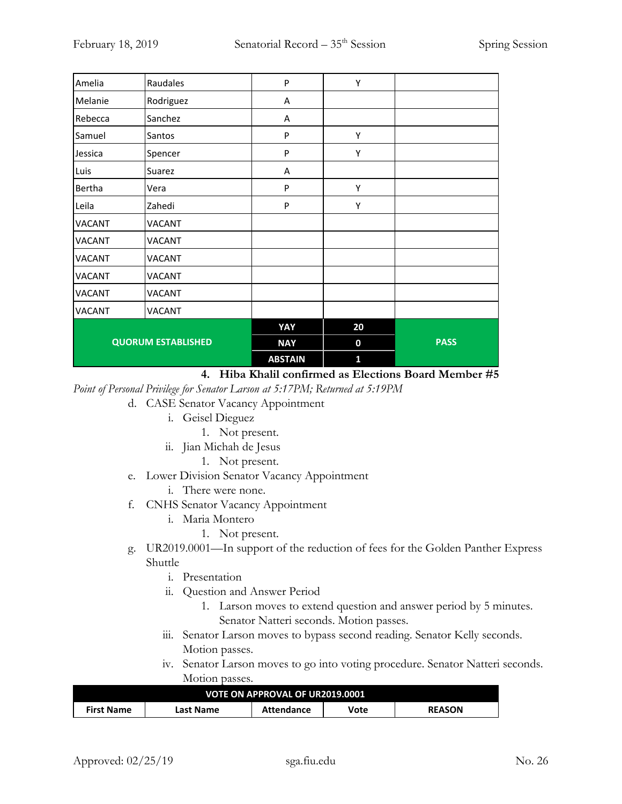| Amelia                    | Raudales      | P              | Υ            |             |
|---------------------------|---------------|----------------|--------------|-------------|
| Melanie                   | Rodriguez     | Α              |              |             |
| Rebecca                   | Sanchez       | A              |              |             |
| Samuel                    | Santos        | P              | Υ            |             |
| Jessica                   | Spencer       | P              | Υ            |             |
| Luis                      | Suarez        | A              |              |             |
| Bertha                    | Vera          | P              | Υ            |             |
| Leila                     | Zahedi        | P              | Υ            |             |
| <b>VACANT</b>             | <b>VACANT</b> |                |              |             |
| <b>VACANT</b>             | VACANT        |                |              |             |
| <b>VACANT</b>             | <b>VACANT</b> |                |              |             |
| <b>VACANT</b>             | <b>VACANT</b> |                |              |             |
| <b>VACANT</b>             | <b>VACANT</b> |                |              |             |
| <b>VACANT</b>             | VACANT        |                |              |             |
|                           |               | YAY            | 20           |             |
| <b>QUORUM ESTABLISHED</b> |               | <b>NAY</b>     | $\mathbf 0$  | <b>PASS</b> |
|                           |               | <b>ABSTAIN</b> | $\mathbf{1}$ |             |

**4. Hiba Khalil confirmed as Elections Board Member #5**

*Point of Personal Privilege for Senator Larson at 5:17PM; Returned at 5:19PM*

- d. CASE Senator Vacancy Appointment
	- i. Geisel Dieguez
		- 1. Not present.
	- ii. Jian Michah de Jesus
		- 1. Not present.
- e. Lower Division Senator Vacancy Appointment
	- i. There were none.
- f. CNHS Senator Vacancy Appointment
	- i. Maria Montero
		- 1. Not present.
- g. UR2019.0001—In support of the reduction of fees for the Golden Panther Express Shuttle
	- i. Presentation
	- ii. Question and Answer Period
		- 1. Larson moves to extend question and answer period by 5 minutes. Senator Natteri seconds. Motion passes.
	- iii. Senator Larson moves to bypass second reading. Senator Kelly seconds. Motion passes.
	- iv. Senator Larson moves to go into voting procedure. Senator Natteri seconds. Motion passes.

| VOTE ON APPROVAL OF UR2019.0001 |           |            |      |               |
|---------------------------------|-----------|------------|------|---------------|
| First Name                      | Last Name | Attendance | Vote | <b>REASON</b> |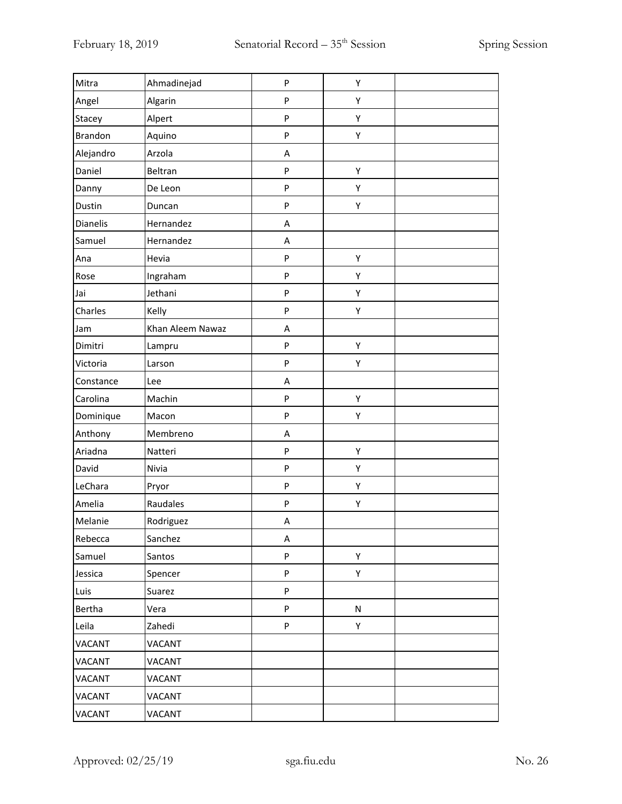| Mitra         | Ahmadinejad      | P         | Υ |  |
|---------------|------------------|-----------|---|--|
| Angel         | Algarin          | ${\sf P}$ | Υ |  |
| Stacey        | Alpert           | P         | Υ |  |
| Brandon       | Aquino           | P         | Υ |  |
| Alejandro     | Arzola           | Α         |   |  |
| Daniel        | Beltran          | P         | Υ |  |
| Danny         | De Leon          | P         | Υ |  |
| Dustin        | Duncan           | P         | Υ |  |
| Dianelis      | Hernandez        | Α         |   |  |
| Samuel        | Hernandez        | Α         |   |  |
| Ana           | Hevia            | ${\sf P}$ | Υ |  |
| Rose          | Ingraham         | P         | Υ |  |
| Jai           | Jethani          | P         | Υ |  |
| Charles       | Kelly            | P         | Υ |  |
| Jam           | Khan Aleem Nawaz | A         |   |  |
| Dimitri       | Lampru           | P         | Υ |  |
| Victoria      | Larson           | P         | Υ |  |
| Constance     | Lee              | Α         |   |  |
| Carolina      | Machin           | P         | Υ |  |
| Dominique     | Macon            | P         | Υ |  |
| Anthony       | Membreno         | Α         |   |  |
| Ariadna       | Natteri          | ${\sf P}$ | Υ |  |
| David         | Nivia            | P         | Υ |  |
| LeChara       | Pryor            | P         | Υ |  |
| Amelia        | Raudales         | P         | Υ |  |
| Melanie       | Rodriguez        | A         |   |  |
| Rebecca       | Sanchez          | A         |   |  |
| Samuel        | Santos           | P         | Υ |  |
| Jessica       | Spencer          | P         | Υ |  |
| Luis          | Suarez           | P         |   |  |
| Bertha        | Vera             | P         | N |  |
| Leila         | Zahedi           | P         | Υ |  |
| <b>VACANT</b> | VACANT           |           |   |  |
| VACANT        | VACANT           |           |   |  |
| VACANT        | VACANT           |           |   |  |
| VACANT        | VACANT           |           |   |  |
| VACANT        | VACANT           |           |   |  |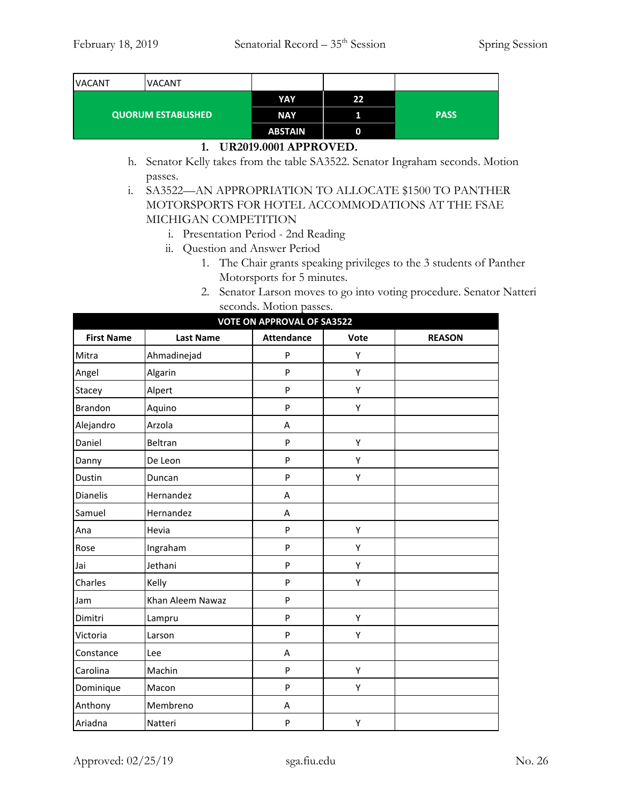| <b>VACANT</b><br><b>VACANT</b> |  |                |    |             |
|--------------------------------|--|----------------|----|-------------|
| <b>QUORUM ESTABLISHED</b>      |  | YAY            | 22 |             |
|                                |  | <b>NAY</b>     |    | <b>PASS</b> |
|                                |  | <b>ABSTAIN</b> |    |             |

#### **1. UR2019.0001 APPROVED.**

h. Senator Kelly takes from the table SA3522. Senator Ingraham seconds. Motion passes.

i. SA3522—AN APPROPRIATION TO ALLOCATE \$1500 TO PANTHER MOTORSPORTS FOR HOTEL ACCOMMODATIONS AT THE FSAE MICHIGAN COMPETITION

- i. Presentation Period 2nd Reading
- ii. Question and Answer Period
	- 1. The Chair grants speaking privileges to the 3 students of Panther Motorsports for 5 minutes.
	- 2. Senator Larson moves to go into voting procedure. Senator Natteri seconds. Motion passes.

| <b>VOTE ON APPROVAL OF SA3522</b> |                  |                   |      |               |  |
|-----------------------------------|------------------|-------------------|------|---------------|--|
| <b>First Name</b>                 | <b>Last Name</b> | <b>Attendance</b> | Vote | <b>REASON</b> |  |
| Mitra                             | Ahmadinejad      | P                 | Υ    |               |  |
| Angel                             | Algarin          | P                 | Υ    |               |  |
| Stacey                            | Alpert           | P                 | Υ    |               |  |
| <b>Brandon</b>                    | Aquino           | P                 | Υ    |               |  |
| Alejandro                         | Arzola           | A                 |      |               |  |
| Daniel                            | Beltran          | P                 | Υ    |               |  |
| Danny                             | De Leon          | P                 | Υ    |               |  |
| Dustin                            | Duncan           | P                 | Υ    |               |  |
| Dianelis                          | Hernandez        | A                 |      |               |  |
| Samuel                            | Hernandez        | A                 |      |               |  |
| Ana                               | Hevia            | P                 | Υ    |               |  |
| Rose                              | Ingraham         | P                 | Υ    |               |  |
| Jai                               | Jethani          | P                 | Υ    |               |  |
| Charles                           | Kelly            | P                 | Υ    |               |  |
| Jam                               | Khan Aleem Nawaz | P                 |      |               |  |
| Dimitri                           | Lampru           | $\mathsf{P}$      | Υ    |               |  |
| Victoria                          | Larson           | P                 | Υ    |               |  |
| Constance                         | Lee              | A                 |      |               |  |
| Carolina                          | Machin           | P                 | Υ    |               |  |
| Dominique                         | Macon            | P                 | Υ    |               |  |
| Anthony                           | Membreno         | Α                 |      |               |  |
| Ariadna                           | Natteri          | P                 | Υ    |               |  |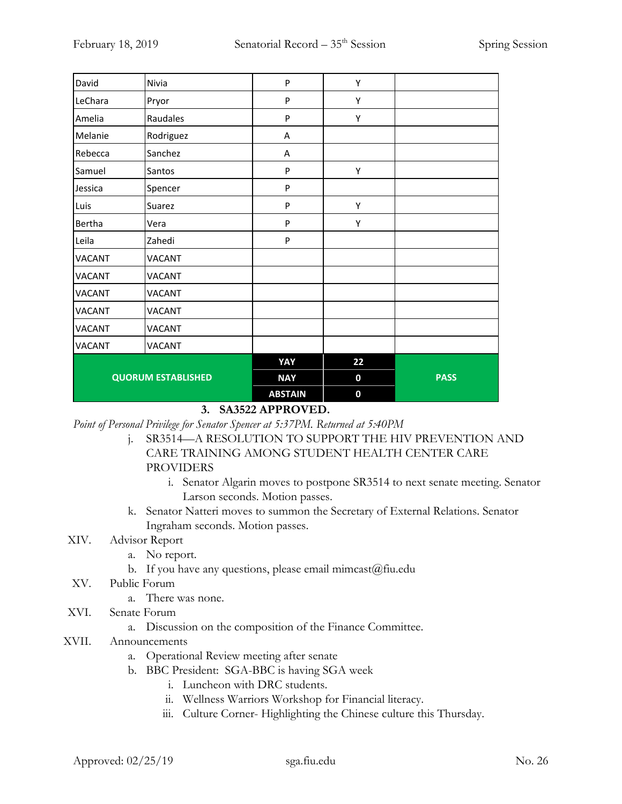| David                     | Nivia         | P              | Υ         |             |
|---------------------------|---------------|----------------|-----------|-------------|
| LeChara                   | Pryor         | ${\sf P}$      | Υ         |             |
| Amelia                    | Raudales      | P              | Υ         |             |
| Melanie                   | Rodriguez     | Α              |           |             |
| Rebecca                   | Sanchez       | Α              |           |             |
| Samuel                    | Santos        | P              | Υ         |             |
| Jessica                   | Spencer       | P              |           |             |
| Luis                      | Suarez        | P              | Υ         |             |
| Bertha                    | Vera          | P              | Υ         |             |
| Leila                     | Zahedi        | P              |           |             |
| <b>VACANT</b>             | VACANT        |                |           |             |
| <b>VACANT</b>             | <b>VACANT</b> |                |           |             |
| <b>VACANT</b>             | VACANT        |                |           |             |
| <b>VACANT</b>             | VACANT        |                |           |             |
| <b>VACANT</b>             | <b>VACANT</b> |                |           |             |
| <b>VACANT</b>             | VACANT        |                |           |             |
|                           |               | YAY            | 22        |             |
| <b>QUORUM ESTABLISHED</b> |               | <b>NAY</b>     | $\pmb{0}$ | <b>PASS</b> |
|                           |               | <b>ABSTAIN</b> | 0         |             |

## **3. SA3522 APPROVED.**

*Point of Personal Privilege for Senator Spencer at 5:37PM. Returned at 5:40PM*

- j. SR3514—A RESOLUTION TO SUPPORT THE HIV PREVENTION AND CARE TRAINING AMONG STUDENT HEALTH CENTER CARE PROVIDERS
	- i. Senator Algarin moves to postpone SR3514 to next senate meeting. Senator Larson seconds. Motion passes.
- k. Senator Natteri moves to summon the Secretary of External Relations. Senator Ingraham seconds. Motion passes.

## XIV. Advisor Report

- a. No report.
- b. If you have any questions, please email mimcast@fiu.edu
- XV. Public Forum
	- a. There was none.
- XVI. Senate Forum
	- a. Discussion on the composition of the Finance Committee.
- XVII. Announcements
	- a. Operational Review meeting after senate
	- b. BBC President: SGA-BBC is having SGA week
		- i. Luncheon with DRC students.
		- ii. Wellness Warriors Workshop for Financial literacy.
		- iii. Culture Corner- Highlighting the Chinese culture this Thursday.